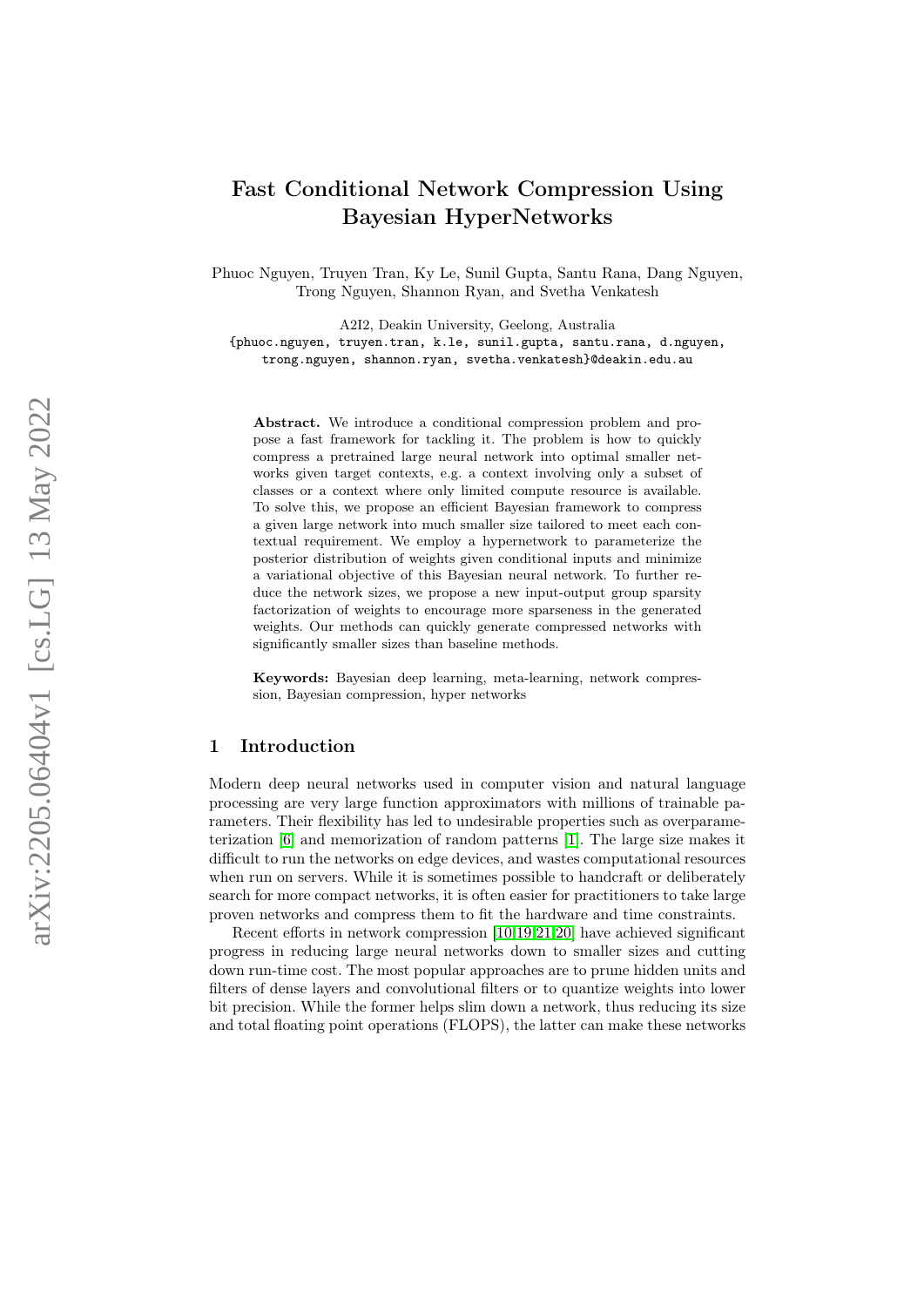# Fast Conditional Network Compression Using Bayesian HyperNetworks

Phuoc Nguyen, Truyen Tran, Ky Le, Sunil Gupta, Santu Rana, Dang Nguyen, Trong Nguyen, Shannon Ryan, and Svetha Venkatesh

A2I2, Deakin University, Geelong, Australia

{phuoc.nguyen, truyen.tran, k.le, sunil.gupta, santu.rana, d.nguyen, trong.nguyen, shannon.ryan, svetha.venkatesh}@deakin.edu.au

Abstract. We introduce a conditional compression problem and propose a fast framework for tackling it. The problem is how to quickly compress a pretrained large neural network into optimal smaller networks given target contexts, e.g. a context involving only a subset of classes or a context where only limited compute resource is available. To solve this, we propose an efficient Bayesian framework to compress a given large network into much smaller size tailored to meet each contextual requirement. We employ a hypernetwork to parameterize the posterior distribution of weights given conditional inputs and minimize a variational objective of this Bayesian neural network. To further reduce the network sizes, we propose a new input-output group sparsity factorization of weights to encourage more sparseness in the generated weights. Our methods can quickly generate compressed networks with significantly smaller sizes than baseline methods.

Keywords: Bayesian deep learning, meta-learning, network compression, Bayesian compression, hyper networks

### 1 Introduction

Modern deep neural networks used in computer vision and natural language processing are very large function approximators with millions of trainable parameters. Their flexibility has led to undesirable properties such as overparameterization [\[6\]](#page-14-0) and memorization of random patterns [\[1\]](#page-14-1). The large size makes it difficult to run the networks on edge devices, and wastes computational resources when run on servers. While it is sometimes possible to handcraft or deliberately search for more compact networks, it is often easier for practitioners to take large proven networks and compress them to fit the hardware and time constraints.

Recent efforts in network compression [\[10,](#page-14-2)[19,](#page-15-0)[21](#page-15-1)[,20\]](#page-15-2) have achieved significant progress in reducing large neural networks down to smaller sizes and cutting down run-time cost. The most popular approaches are to prune hidden units and filters of dense layers and convolutional filters or to quantize weights into lower bit precision. While the former helps slim down a network, thus reducing its size and total floating point operations (FLOPS), the latter can make these networks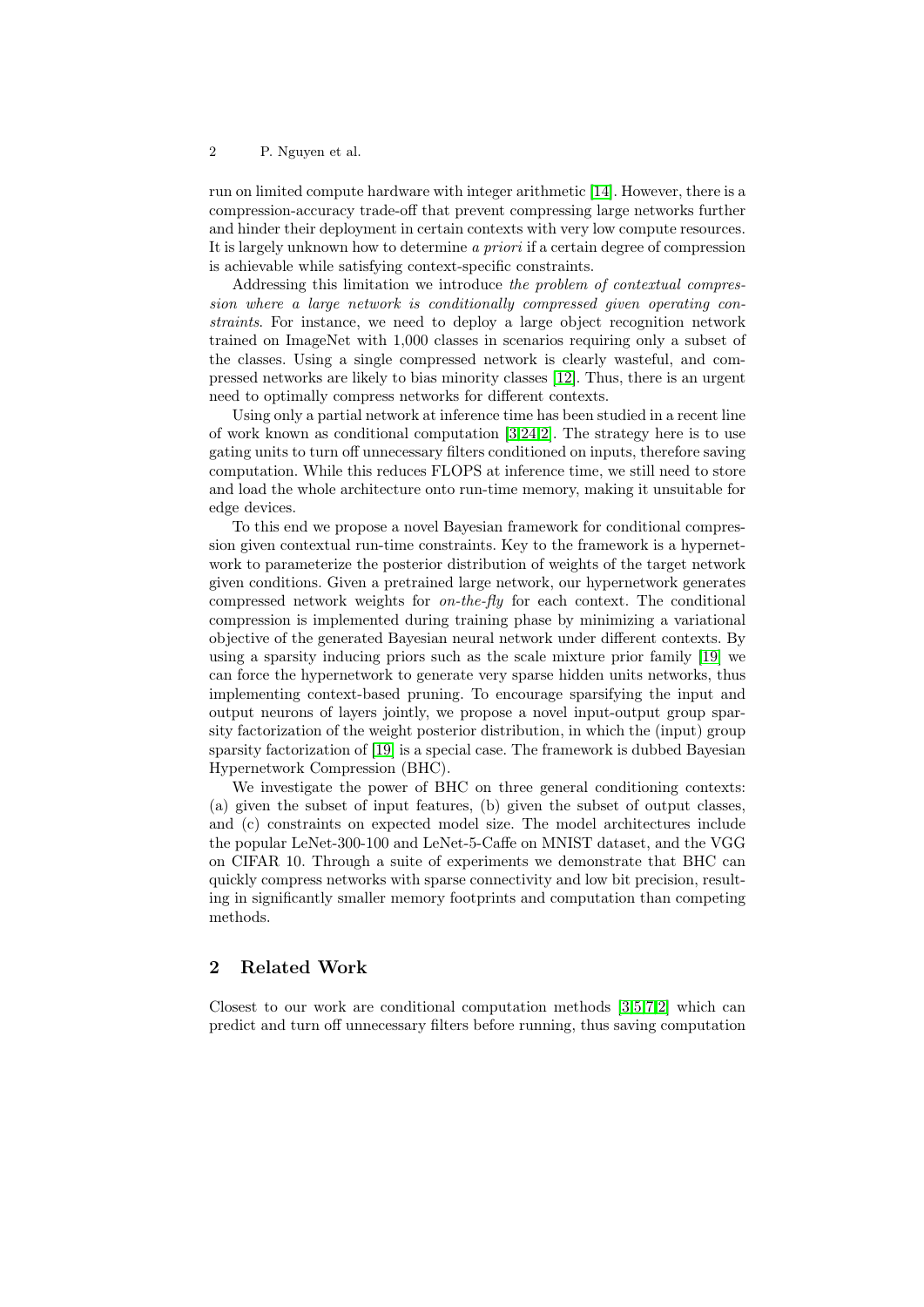run on limited compute hardware with integer arithmetic [\[14\]](#page-15-3). However, there is a compression-accuracy trade-off that prevent compressing large networks further and hinder their deployment in certain contexts with very low compute resources. It is largely unknown how to determine a priori if a certain degree of compression is achievable while satisfying context-specific constraints.

Addressing this limitation we introduce the problem of contextual compression where a large network is conditionally compressed given operating constraints. For instance, we need to deploy a large object recognition network trained on ImageNet with 1,000 classes in scenarios requiring only a subset of the classes. Using a single compressed network is clearly wasteful, and compressed networks are likely to bias minority classes [\[12\]](#page-15-4). Thus, there is an urgent need to optimally compress networks for different contexts.

Using only a partial network at inference time has been studied in a recent line of work known as conditional computation [\[3,](#page-14-3)[24,](#page-15-5)[2\]](#page-14-4). The strategy here is to use gating units to turn off unnecessary filters conditioned on inputs, therefore saving computation. While this reduces FLOPS at inference time, we still need to store and load the whole architecture onto run-time memory, making it unsuitable for edge devices.

To this end we propose a novel Bayesian framework for conditional compression given contextual run-time constraints. Key to the framework is a hypernetwork to parameterize the posterior distribution of weights of the target network given conditions. Given a pretrained large network, our hypernetwork generates compressed network weights for on-the-fly for each context. The conditional compression is implemented during training phase by minimizing a variational objective of the generated Bayesian neural network under different contexts. By using a sparsity inducing priors such as the scale mixture prior family [\[19\]](#page-15-0) we can force the hypernetwork to generate very sparse hidden units networks, thus implementing context-based pruning. To encourage sparsifying the input and output neurons of layers jointly, we propose a novel input-output group sparsity factorization of the weight posterior distribution, in which the (input) group sparsity factorization of [\[19\]](#page-15-0) is a special case. The framework is dubbed Bayesian Hypernetwork Compression (BHC).

We investigate the power of BHC on three general conditioning contexts: (a) given the subset of input features, (b) given the subset of output classes, and (c) constraints on expected model size. The model architectures include the popular LeNet-300-100 and LeNet-5-Caffe on MNIST dataset, and the VGG on CIFAR 10. Through a suite of experiments we demonstrate that BHC can quickly compress networks with sparse connectivity and low bit precision, resulting in significantly smaller memory footprints and computation than competing methods.

# 2 Related Work

Closest to our work are conditional computation methods [\[3,](#page-14-3)[5,](#page-14-5)[7,](#page-14-6)[2\]](#page-14-4) which can predict and turn off unnecessary filters before running, thus saving computation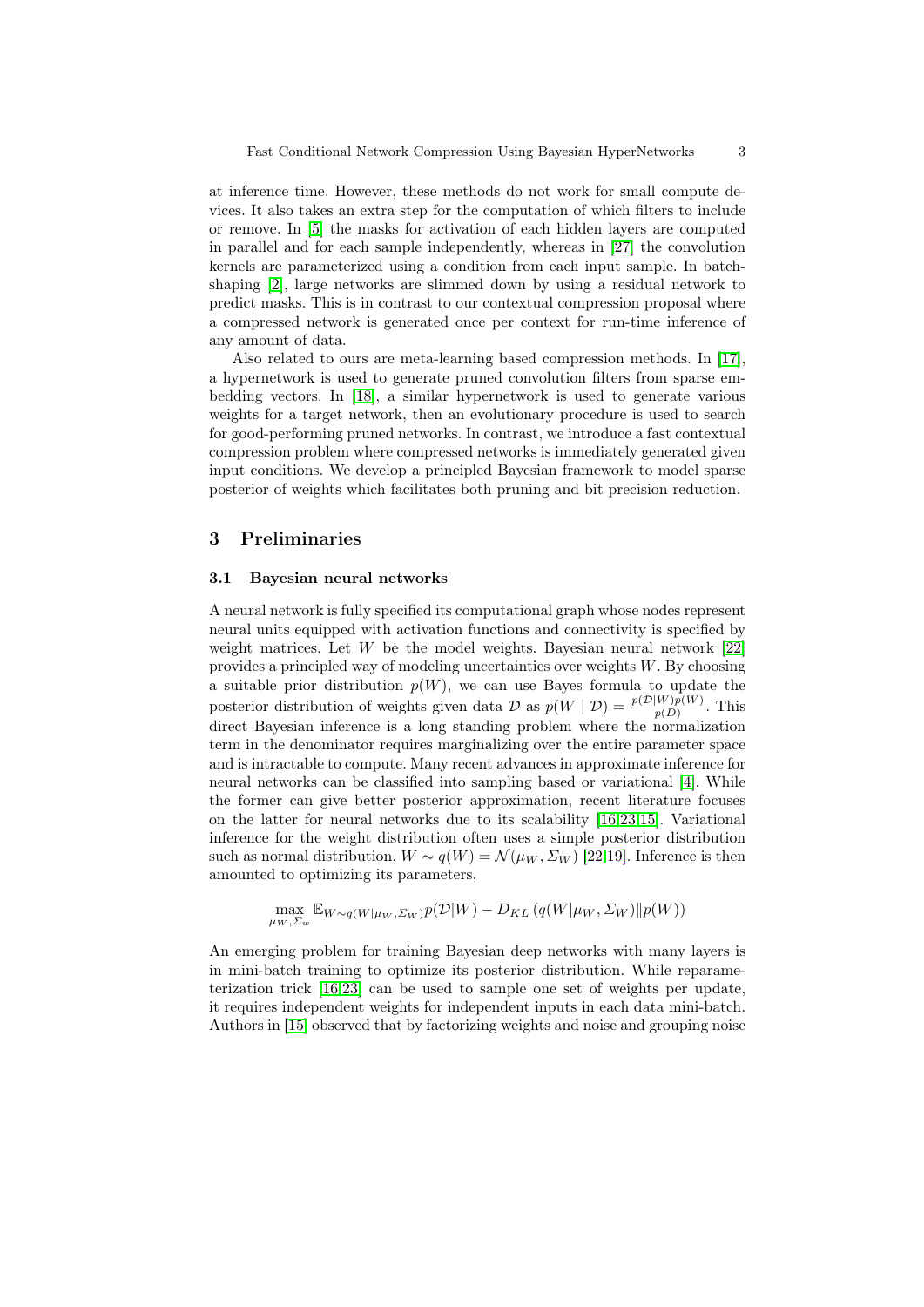at inference time. However, these methods do not work for small compute devices. It also takes an extra step for the computation of which filters to include or remove. In [\[5\]](#page-14-5) the masks for activation of each hidden layers are computed in parallel and for each sample independently, whereas in [\[27\]](#page-15-6) the convolution kernels are parameterized using a condition from each input sample. In batchshaping [\[2\]](#page-14-4), large networks are slimmed down by using a residual network to predict masks. This is in contrast to our contextual compression proposal where a compressed network is generated once per context for run-time inference of any amount of data.

Also related to ours are meta-learning based compression methods. In [\[17\]](#page-15-7), a hypernetwork is used to generate pruned convolution filters from sparse embedding vectors. In [\[18\]](#page-15-8), a similar hypernetwork is used to generate various weights for a target network, then an evolutionary procedure is used to search for good-performing pruned networks. In contrast, we introduce a fast contextual compression problem where compressed networks is immediately generated given input conditions. We develop a principled Bayesian framework to model sparse posterior of weights which facilitates both pruning and bit precision reduction.

### 3 Preliminaries

#### 3.1 Bayesian neural networks

A neural network is fully specified its computational graph whose nodes represent neural units equipped with activation functions and connectivity is specified by weight matrices. Let  $W$  be the model weights. Bayesian neural network [\[22\]](#page-15-9) provides a principled way of modeling uncertainties over weights W. By choosing a suitable prior distribution  $p(W)$ , we can use Bayes formula to update the posterior distribution of weights given data  $\mathcal D$  as  $p(W | \mathcal D) = \frac{p(\mathcal D | W)p(W)}{p(D)}$ . This direct Bayesian inference is a long standing problem where the normalization term in the denominator requires marginalizing over the entire parameter space and is intractable to compute. Many recent advances in approximate inference for neural networks can be classified into sampling based or variational [\[4\]](#page-14-7). While the former can give better posterior approximation, recent literature focuses on the latter for neural networks due to its scalability [\[16,](#page-15-10)[23,](#page-15-11)[15\]](#page-15-12). Variational inference for the weight distribution often uses a simple posterior distribution such as normal distribution,  $W \sim q(W) = \mathcal{N}(\mu_W, \Sigma_W)$  [\[22](#page-15-9)[,19\]](#page-15-0). Inference is then amounted to optimizing its parameters,

$$
\max_{\mu_W, \Sigma_w} \mathbb{E}_{W \sim q(W|\mu_W, \Sigma_W)} p(\mathcal{D}|W) - D_{KL}(q(W|\mu_W, \Sigma_W) \| p(W))
$$

An emerging problem for training Bayesian deep networks with many layers is in mini-batch training to optimize its posterior distribution. While reparameterization trick [\[16,](#page-15-10)[23\]](#page-15-11) can be used to sample one set of weights per update, it requires independent weights for independent inputs in each data mini-batch. Authors in [\[15\]](#page-15-12) observed that by factorizing weights and noise and grouping noise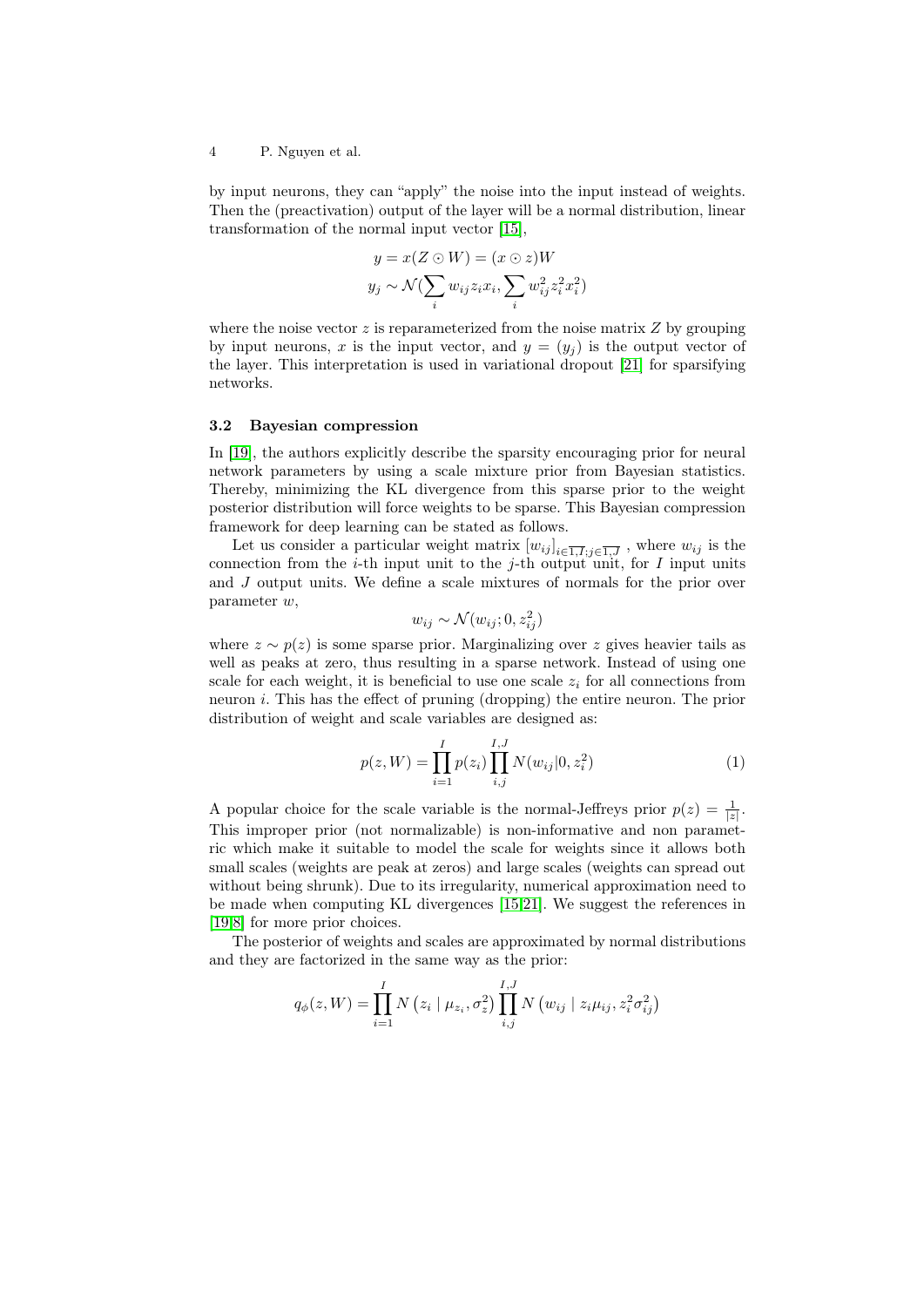by input neurons, they can "apply" the noise into the input instead of weights. Then the (preactivation) output of the layer will be a normal distribution, linear transformation of the normal input vector [\[15\]](#page-15-12),

$$
y = x(Z \odot W) = (x \odot z)W
$$

$$
y_j \sim \mathcal{N}(\sum_i w_{ij} z_i x_i, \sum_i w_{ij}^2 z_i^2 x_i^2)
$$

where the noise vector  $z$  is reparameterized from the noise matrix  $Z$  by grouping by input neurons, x is the input vector, and  $y = (y_i)$  is the output vector of the layer. This interpretation is used in variational dropout [\[21\]](#page-15-1) for sparsifying networks.

#### <span id="page-3-0"></span>3.2 Bayesian compression

In [\[19\]](#page-15-0), the authors explicitly describe the sparsity encouraging prior for neural network parameters by using a scale mixture prior from Bayesian statistics. Thereby, minimizing the KL divergence from this sparse prior to the weight posterior distribution will force weights to be sparse. This Bayesian compression framework for deep learning can be stated as follows.

Let us consider a particular weight matrix  $[w_{ij}]_{i \in \overline{1,I};j \in \overline{1,J}}$ , where  $w_{ij}$  is the connection from the *i*-th input unit to the *j*-th output unit, for  $I$  input units and J output units. We define a scale mixtures of normals for the prior over parameter w,

$$
w_{ij} \sim \mathcal{N}(w_{ij}; 0, z_{ij}^2)
$$

where  $z \sim p(z)$  is some sparse prior. Marginalizing over z gives heavier tails as well as peaks at zero, thus resulting in a sparse network. Instead of using one scale for each weight, it is beneficial to use one scale  $z<sub>i</sub>$  for all connections from neuron i. This has the effect of pruning (dropping) the entire neuron. The prior distribution of weight and scale variables are designed as:

$$
p(z, W) = \prod_{i=1}^{I} p(z_i) \prod_{i,j}^{I,J} N(w_{ij}|0, z_i^2)
$$
 (1)

A popular choice for the scale variable is the normal-Jeffreys prior  $p(z) = \frac{1}{|z|}$ . This improper prior (not normalizable) is non-informative and non parametric which make it suitable to model the scale for weights since it allows both small scales (weights are peak at zeros) and large scales (weights can spread out without being shrunk). Due to its irregularity, numerical approximation need to be made when computing KL divergences [\[15](#page-15-12)[,21\]](#page-15-1). We suggest the references in [\[19](#page-15-0)[,8\]](#page-14-8) for more prior choices.

The posterior of weights and scales are approximated by normal distributions and they are factorized in the same way as the prior:

$$
q_{\phi}(z, W) = \prod_{i=1}^{I} N(z_i | \mu_{z_i}, \sigma_z^2) \prod_{i,j}^{I,J} N(w_{ij} | z_i \mu_{ij}, z_i^2 \sigma_{ij}^2)
$$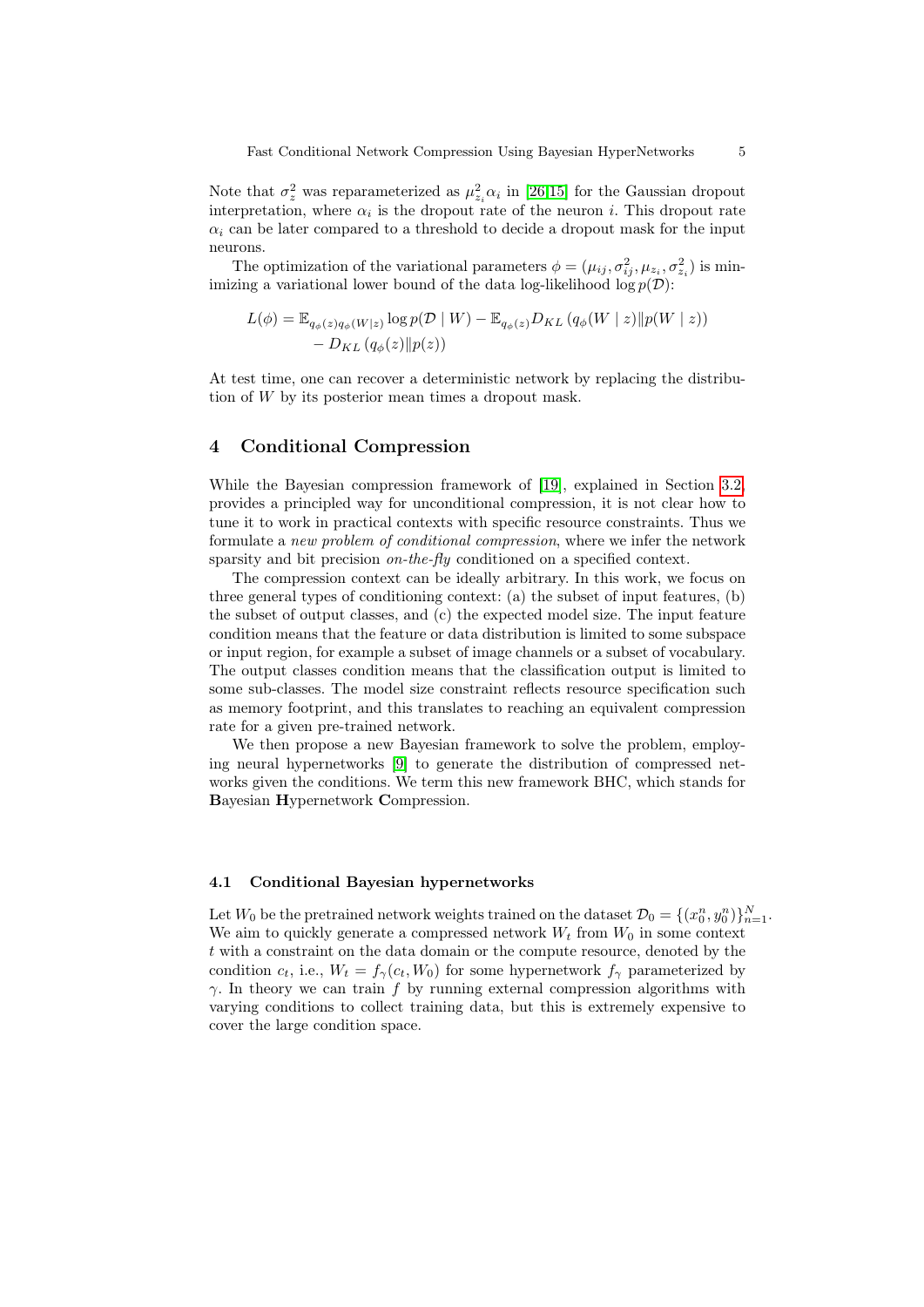Note that  $\sigma_z^2$  was reparameterized as  $\mu_{z_i}^2 \alpha_i$  in [\[26](#page-15-13)[,15\]](#page-15-12) for the Gaussian dropout interpretation, where  $\alpha_i$  is the dropout rate of the neuron i. This dropout rate  $\alpha_i$  can be later compared to a threshold to decide a dropout mask for the input neurons.

The optimization of the variational parameters  $\phi = (\mu_{ij}, \sigma_{ij}^2, \mu_{z_i}, \sigma_{z_i}^2)$  is minimizing a variational lower bound of the data log-likelihood log  $p(\mathcal{D})$ :

$$
L(\phi) = \mathbb{E}_{q_{\phi}(z)q_{\phi}(W|z)} \log p(\mathcal{D} \mid W) - \mathbb{E}_{q_{\phi}(z)} D_{KL} (q_{\phi}(W \mid z) \| p(W \mid z)) - D_{KL} (q_{\phi}(z) \| p(z))
$$

At test time, one can recover a deterministic network by replacing the distribution of W by its posterior mean times a dropout mask.

### 4 Conditional Compression

While the Bayesian compression framework of [\[19\]](#page-15-0), explained in Section [3.2,](#page-3-0) provides a principled way for unconditional compression, it is not clear how to tune it to work in practical contexts with specific resource constraints. Thus we formulate a new problem of conditional compression, where we infer the network sparsity and bit precision *on-the-fly* conditioned on a specified context.

The compression context can be ideally arbitrary. In this work, we focus on three general types of conditioning context: (a) the subset of input features, (b) the subset of output classes, and (c) the expected model size. The input feature condition means that the feature or data distribution is limited to some subspace or input region, for example a subset of image channels or a subset of vocabulary. The output classes condition means that the classification output is limited to some sub-classes. The model size constraint reflects resource specification such as memory footprint, and this translates to reaching an equivalent compression rate for a given pre-trained network.

We then propose a new Bayesian framework to solve the problem, employing neural hypernetworks [\[9\]](#page-14-9) to generate the distribution of compressed networks given the conditions. We term this new framework BHC, which stands for Bayesian Hypernetwork Compression.

#### 4.1 Conditional Bayesian hypernetworks

Let  $W_0$  be the pretrained network weights trained on the dataset  $\mathcal{D}_0 = \{(x_0^n, y_0^n)\}_{n=1}^N$ . We aim to quickly generate a compressed network  $W_t$  from  $W_0$  in some context t with a constraint on the data domain or the compute resource, denoted by the condition  $c_t$ , i.e.,  $W_t = f_\gamma(c_t, W_0)$  for some hypernetwork  $f_\gamma$  parameterized by  $\gamma$ . In theory we can train f by running external compression algorithms with varying conditions to collect training data, but this is extremely expensive to cover the large condition space.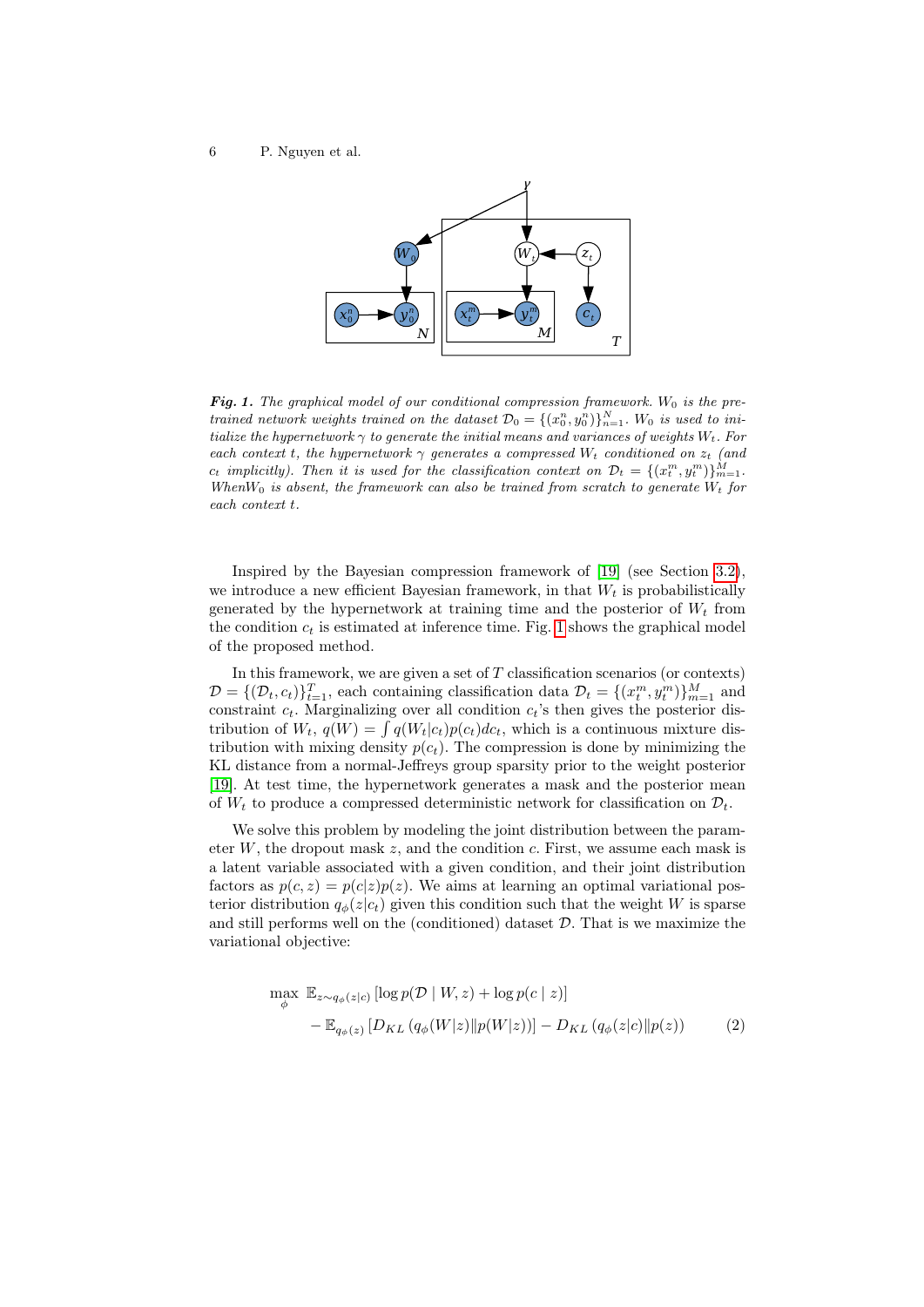

<span id="page-5-0"></span>Fig. 1. The graphical model of our conditional compression framework.  $W_0$  is the pretrained network weights trained on the dataset  $\mathcal{D}_0 = \{(x_0^n, y_0^n)\}_{n=1}^N$ . W<sub>0</sub> is used to initialize the hypernetwork  $\gamma$  to generate the initial means and variances of weights  $W_t$ . For each context t, the hypernetwork  $\gamma$  generates a compressed  $W_t$  conditioned on  $z_t$  (and  $c_t$  implicitly). Then it is used for the classification context on  $\mathcal{D}_t = \{(x_t^m, y_t^m)\}_{m=1}^M$ . When $W_0$  is absent, the framework can also be trained from scratch to generate  $W_t$  for each context t.

Inspired by the Bayesian compression framework of [\[19\]](#page-15-0) (see Section [3.2\)](#page-3-0), we introduce a new efficient Bayesian framework, in that  $W_t$  is probabilistically generated by the hypernetwork at training time and the posterior of  $W_t$  from the condition  $c_t$  is estimated at inference time. Fig. [1](#page-5-0) shows the graphical model of the proposed method.

In this framework, we are given a set of  $T$  classification scenarios (or contexts)  $D = \{(\mathcal{D}_t, c_t)\}_{t=1}^T$ , each containing classification data  $\mathcal{D}_t = \{(x_t^m, y_t^m)\}_{m=1}^M$  and constraint  $c_t$ . Marginalizing over all condition  $c_t$ 's then gives the posterior distribution of  $W_t$ ,  $q(W) = \int q(W_t|c_t)p(c_t)dc_t$ , which is a continuous mixture distribution with mixing density  $p(c_t)$ . The compression is done by minimizing the KL distance from a normal-Jeffreys group sparsity prior to the weight posterior [\[19\]](#page-15-0). At test time, the hypernetwork generates a mask and the posterior mean of  $W_t$  to produce a compressed deterministic network for classification on  $\mathcal{D}_t$ .

We solve this problem by modeling the joint distribution between the parameter  $W$ , the dropout mask  $z$ , and the condition  $c$ . First, we assume each mask is a latent variable associated with a given condition, and their joint distribution factors as  $p(c, z) = p(c|z)p(z)$ . We aims at learning an optimal variational posterior distribution  $q_{\phi}(z|c_t)$  given this condition such that the weight W is sparse and still performs well on the (conditioned) dataset  $D$ . That is we maximize the variational objective:

<span id="page-5-1"></span>
$$
\max_{\phi} \mathbb{E}_{z \sim q_{\phi}(z|c)} \left[ \log p(\mathcal{D} \mid W, z) + \log p(c \mid z) \right]
$$
  
 
$$
- \mathbb{E}_{q_{\phi}(z)} \left[ D_{KL} \left( q_{\phi}(W|z) \| p(W|z) \right) \right] - D_{KL} \left( q_{\phi}(z|c) \| p(z) \right) \tag{2}
$$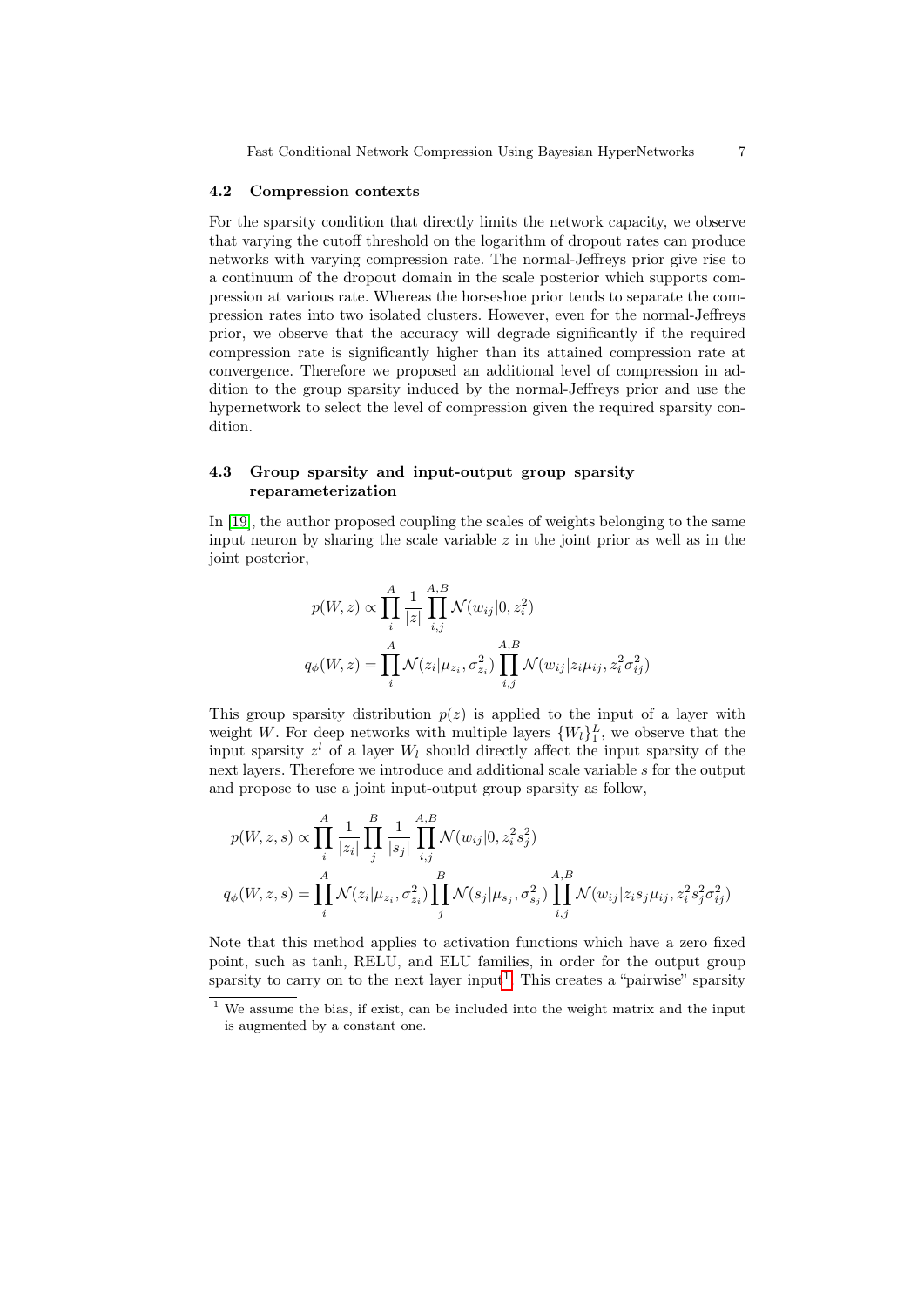#### 4.2 Compression contexts

For the sparsity condition that directly limits the network capacity, we observe that varying the cutoff threshold on the logarithm of dropout rates can produce networks with varying compression rate. The normal-Jeffreys prior give rise to a continuum of the dropout domain in the scale posterior which supports compression at various rate. Whereas the horseshoe prior tends to separate the compression rates into two isolated clusters. However, even for the normal-Jeffreys prior, we observe that the accuracy will degrade significantly if the required compression rate is significantly higher than its attained compression rate at convergence. Therefore we proposed an additional level of compression in addition to the group sparsity induced by the normal-Jeffreys prior and use the hypernetwork to select the level of compression given the required sparsity condition.

### 4.3 Group sparsity and input-output group sparsity reparameterization

In [\[19\]](#page-15-0), the author proposed coupling the scales of weights belonging to the same input neuron by sharing the scale variable  $z$  in the joint prior as well as in the joint posterior,

$$
p(W, z) \propto \prod_{i}^{A} \frac{1}{|z|} \prod_{i,j}^{A,B} \mathcal{N}(w_{ij}|0, z_i^2)
$$
  

$$
q_{\phi}(W, z) = \prod_{i}^{A} \mathcal{N}(z_i | \mu_{z_i}, \sigma_{z_i}^2) \prod_{i,j}^{A,B} \mathcal{N}(w_{ij} | z_i \mu_{ij}, z_i^2 \sigma_{ij}^2)
$$

This group sparsity distribution  $p(z)$  is applied to the input of a layer with weight W. For deep networks with multiple layers  $\{W_l\}_1^L$ , we observe that the input sparsity  $z^l$  of a layer  $W_l$  should directly affect the input sparsity of the next layers. Therefore we introduce and additional scale variable s for the output and propose to use a joint input-output group sparsity as follow,

$$
p(W, z, s) \propto \prod_{i}^{A} \frac{1}{|z_i|} \prod_{j}^{B} \frac{1}{|s_j|} \prod_{i,j}^{A, B} \mathcal{N}(w_{ij}|0, z_i^2 s_j^2)
$$
  

$$
q_{\phi}(W, z, s) = \prod_{i}^{A} \mathcal{N}(z_i | \mu_{z_i}, \sigma_{z_i}^2) \prod_{j}^{B} \mathcal{N}(s_j | \mu_{s_j}, \sigma_{s_j}^2) \prod_{i,j}^{A, B} \mathcal{N}(w_{ij}|z_i s_j \mu_{ij}, z_i^2 s_j^2 \sigma_{ij}^2)
$$

Note that this method applies to activation functions which have a zero fixed point, such as tanh, RELU, and ELU families, in order for the output group sparsity to carry on to the next layer input<sup>[1](#page-6-0)</sup>. This creates a "pairwise" sparsity

<span id="page-6-0"></span><sup>&</sup>lt;sup>1</sup> We assume the bias, if exist, can be included into the weight matrix and the input is augmented by a constant one.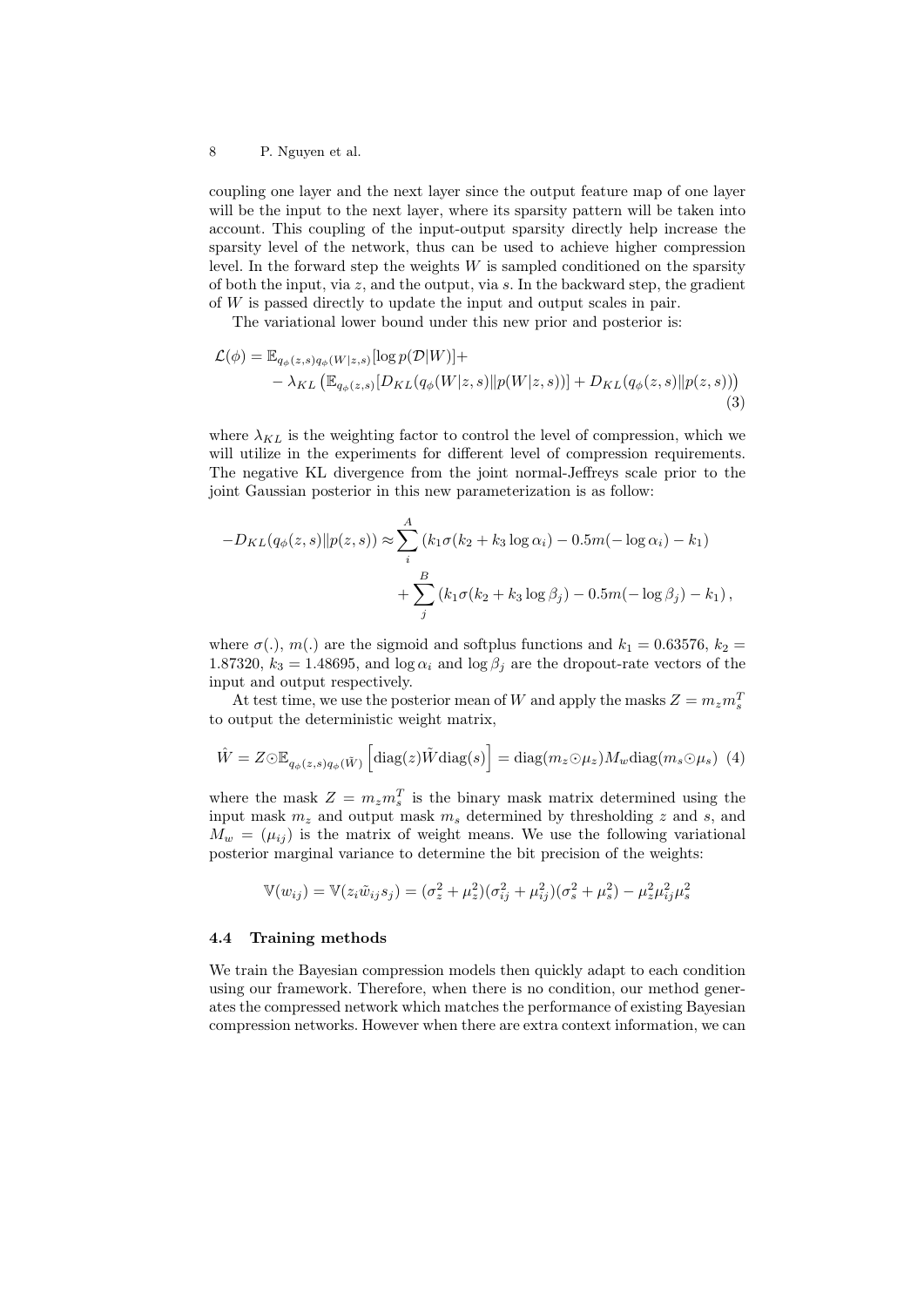coupling one layer and the next layer since the output feature map of one layer will be the input to the next layer, where its sparsity pattern will be taken into account. This coupling of the input-output sparsity directly help increase the sparsity level of the network, thus can be used to achieve higher compression level. In the forward step the weights  $W$  is sampled conditioned on the sparsity of both the input, via  $z$ , and the output, via  $s$ . In the backward step, the gradient of W is passed directly to update the input and output scales in pair.

<span id="page-7-1"></span>The variational lower bound under this new prior and posterior is:

$$
\mathcal{L}(\phi) = \mathbb{E}_{q_{\phi}(z,s)q_{\phi}(W|z,s)}[\log p(\mathcal{D}|W)] +
$$
  
 
$$
- \lambda_{KL} \left( \mathbb{E}_{q_{\phi}(z,s)}[D_{KL}(q_{\phi}(W|z,s)||p(W|z,s))] + D_{KL}(q_{\phi}(z,s)||p(z,s)) \right)
$$
(3)

where  $\lambda_{KL}$  is the weighting factor to control the level of compression, which we will utilize in the experiments for different level of compression requirements. The negative KL divergence from the joint normal-Jeffreys scale prior to the joint Gaussian posterior in this new parameterization is as follow:

$$
-D_{KL}(q_{\phi}(z,s)||p(z,s)) \approx \sum_{i}^{A} (k_1 \sigma(k_2 + k_3 \log \alpha_i) - 0.5m(-\log \alpha_i) - k_1) + \sum_{j}^{B} (k_1 \sigma(k_2 + k_3 \log \beta_j) - 0.5m(-\log \beta_j) - k_1),
$$

where  $\sigma(.)$ ,  $m(.)$  are the sigmoid and softplus functions and  $k_1 = 0.63576$ ,  $k_2 =$ 1.87320,  $k_3 = 1.48695$ , and  $\log \alpha_i$  and  $\log \beta_j$  are the dropout-rate vectors of the input and output respectively.

At test time, we use the posterior mean of W and apply the masks  $Z = m_z m_s^T$ to output the deterministic weight matrix,

<span id="page-7-0"></span>
$$
\hat{W} = Z \odot \mathbb{E}_{q_{\phi}(z,s)q_{\phi}(\tilde{W})} \left[ \text{diag}(z) \tilde{W} \text{diag}(s) \right] = \text{diag}(m_z \odot \mu_z) M_w \text{diag}(m_s \odot \mu_s) \tag{4}
$$

where the mask  $Z = m_z m_s^T$  is the binary mask matrix determined using the input mask  $m_z$  and output mask  $m_s$  determined by thresholding z and s, and  $M_w = (\mu_{ij})$  is the matrix of weight means. We use the following variational posterior marginal variance to determine the bit precision of the weights:

$$
\mathbb{V}(w_{ij}) = \mathbb{V}(z_i \tilde{w}_{ij} s_j) = (\sigma_z^2 + \mu_z^2)(\sigma_{ij}^2 + \mu_{ij}^2)(\sigma_s^2 + \mu_s^2) - \mu_z^2 \mu_{ij}^2 \mu_s^2
$$

#### 4.4 Training methods

We train the Bayesian compression models then quickly adapt to each condition using our framework. Therefore, when there is no condition, our method generates the compressed network which matches the performance of existing Bayesian compression networks. However when there are extra context information, we can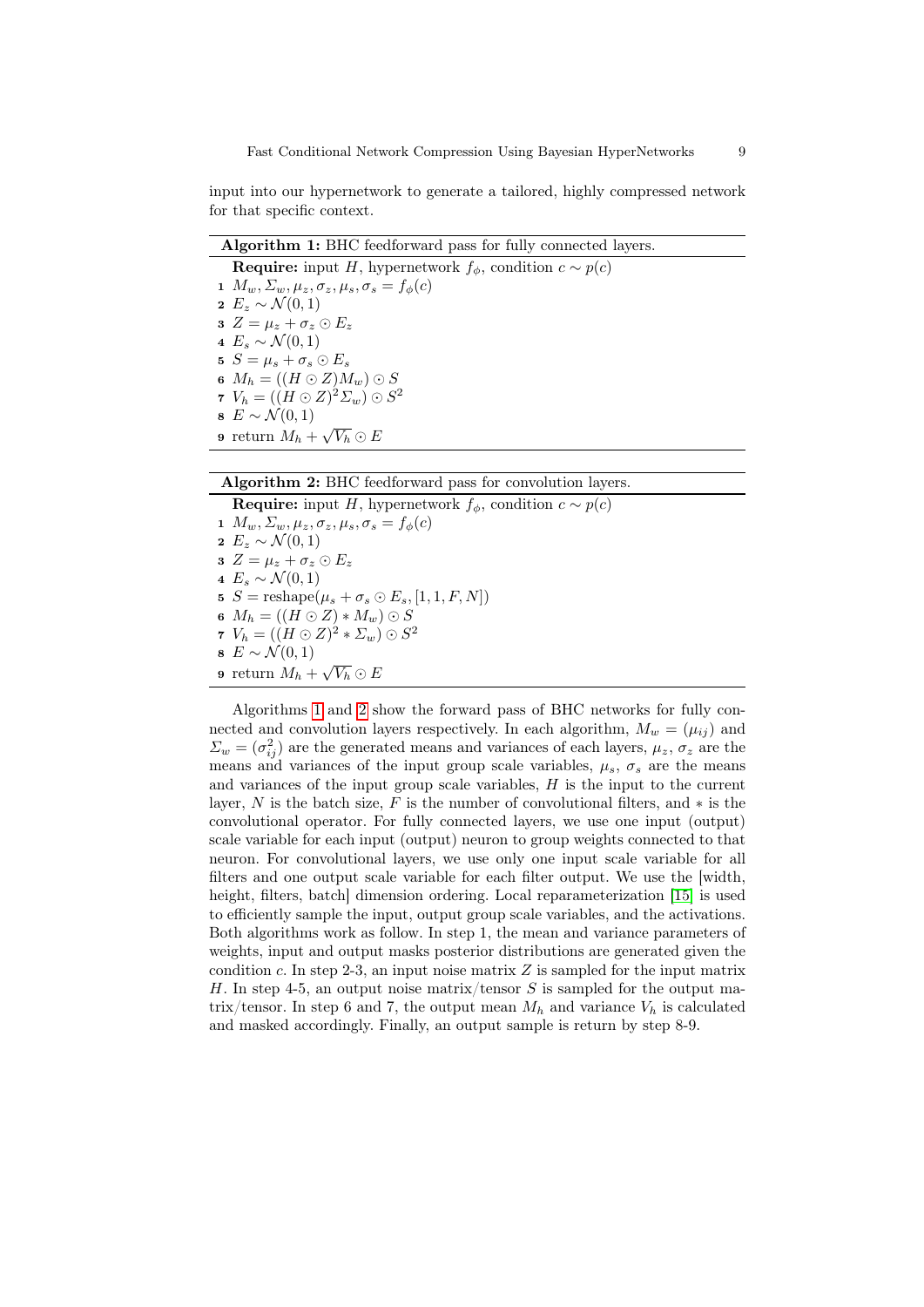| <b>Algorithm 1:</b> BHC feedforward pass for fully connected layers. |                                                                            |  |  |  |  |
|----------------------------------------------------------------------|----------------------------------------------------------------------------|--|--|--|--|
|                                                                      | <b>Require:</b> input H, hypernetwork $f_{\phi}$ , condition $c \sim p(c)$ |  |  |  |  |
|                                                                      | 1 $M_w, \Sigma_w, \mu_z, \sigma_z, \mu_s, \sigma_s = f_\phi(c)$            |  |  |  |  |
|                                                                      | 2 $E_z \sim \mathcal{N}(0,1)$                                              |  |  |  |  |
|                                                                      | $Z = \mu_z + \sigma_z \odot E_z$                                           |  |  |  |  |
|                                                                      | 4 $E_s \sim \mathcal{N}(0, 1)$                                             |  |  |  |  |
|                                                                      | 5 $S = \mu_s + \sigma_s \odot E_s$                                         |  |  |  |  |
|                                                                      | 6 $M_h = ((H \odot Z)M_w) \odot S$                                         |  |  |  |  |
|                                                                      | 7 $V_h = ((H \odot Z)^2 \Sigma_w) \odot S^2$                               |  |  |  |  |
|                                                                      | 8 $E \sim \mathcal{N}(0, 1)$                                               |  |  |  |  |
|                                                                      | <b>9</b> return $M_h + \sqrt{V_h} \odot E$                                 |  |  |  |  |

### <span id="page-8-0"></span>Algorithm 2: BHC feedforward pass for convolution layers.

**Require:** input H, hypernetwork  $f_{\phi}$ , condition  $c \sim p(c)$  $M_w$ ,  $\Sigma_w$ ,  $\mu_z$ ,  $\sigma_z$ ,  $\mu_s$ ,  $\sigma_s = f_\phi(c)$  $E_z \sim \mathcal{N}(0, 1)$  $Z = \mu_z + \sigma_z \odot E_z$  $E_s \sim \mathcal{N}(0, 1)$  $S = \text{reshape}(\mu_s + \sigma_s \odot E_s, [1, 1, F, N])$  $M_h = ((H \odot Z) * M_w) \odot S$  $\tau$   $V_h = ((H \odot Z)^2 * \Sigma_w) \odot S^2$  $E \sim \mathcal{N}(0, 1)$  $\frac{1}{9}$  return  $M_h + \sqrt{V_h} \odot E$ 

<span id="page-8-1"></span>Algorithms [1](#page-8-0) and [2](#page-8-1) show the forward pass of BHC networks for fully connected and convolution layers respectively. In each algorithm,  $M_w = (\mu_{ij})$  and  $\Sigma_w = (\sigma_{ij}^2)$  are the generated means and variances of each layers,  $\mu_z$ ,  $\sigma_z$  are the means and variances of the input group scale variables,  $\mu_s$ ,  $\sigma_s$  are the means and variances of the input group scale variables,  $H$  is the input to the current layer,  $N$  is the batch size,  $F$  is the number of convolutional filters, and  $*$  is the convolutional operator. For fully connected layers, we use one input (output) scale variable for each input (output) neuron to group weights connected to that neuron. For convolutional layers, we use only one input scale variable for all filters and one output scale variable for each filter output. We use the [width, height, filters, batch dimension ordering. Local reparameterization [\[15\]](#page-15-12) is used to efficiently sample the input, output group scale variables, and the activations. Both algorithms work as follow. In step 1, the mean and variance parameters of weights, input and output masks posterior distributions are generated given the condition c. In step 2-3, an input noise matrix  $Z$  is sampled for the input matrix H. In step 4-5, an output noise matrix/tensor S is sampled for the output matrix/tensor. In step 6 and 7, the output mean  $M_h$  and variance  $V_h$  is calculated and masked accordingly. Finally, an output sample is return by step 8-9.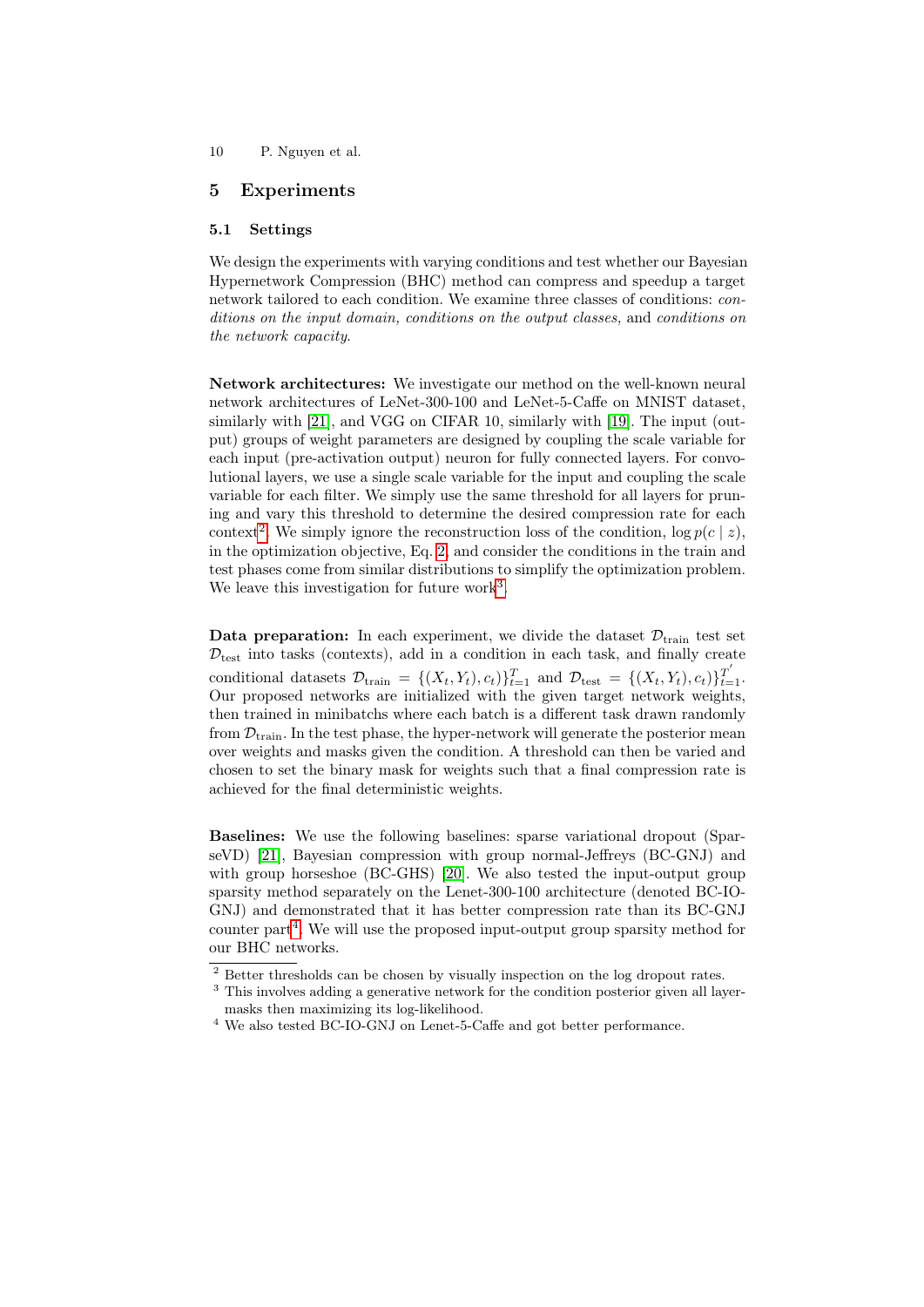### 5 Experiments

#### 5.1 Settings

We design the experiments with varying conditions and test whether our Bayesian Hypernetwork Compression (BHC) method can compress and speedup a target network tailored to each condition. We examine three classes of conditions: conditions on the input domain, conditions on the output classes, and conditions on the network capacity.

Network architectures: We investigate our method on the well-known neural network architectures of LeNet-300-100 and LeNet-5-Caffe on MNIST dataset, similarly with [\[21\]](#page-15-1), and VGG on CIFAR 10, similarly with [\[19\]](#page-15-0). The input (output) groups of weight parameters are designed by coupling the scale variable for each input (pre-activation output) neuron for fully connected layers. For convolutional layers, we use a single scale variable for the input and coupling the scale variable for each filter. We simply use the same threshold for all layers for pruning and vary this threshold to determine the desired compression rate for each context<sup>[2](#page-9-0)</sup>. We simply ignore the reconstruction loss of the condition,  $\log p(c \mid z)$ , in the optimization objective, Eq. [2,](#page-5-1) and consider the conditions in the train and test phases come from similar distributions to simplify the optimization problem. We leave this investigation for future work<sup>[3](#page-9-1)</sup>.

Data preparation: In each experiment, we divide the dataset  $\mathcal{D}_{\text{train}}$  test set  $\mathcal{D}_{\text{test}}$  into tasks (contexts), add in a condition in each task, and finally create conditional datasets  $\mathcal{D}_{\text{train}} = \{(X_t, Y_t), c_t\}_{t=1}^T$  and  $\mathcal{D}_{\text{test}} = \{(X_t, Y_t), c_t\}_{t=1}^T$ . Our proposed networks are initialized with the given target network weights, then trained in minibatchs where each batch is a different task drawn randomly from  $\mathcal{D}_{\text{train}}$ . In the test phase, the hyper-network will generate the posterior mean over weights and masks given the condition. A threshold can then be varied and chosen to set the binary mask for weights such that a final compression rate is achieved for the final deterministic weights.

Baselines: We use the following baselines: sparse variational dropout (SparseVD) [\[21\]](#page-15-1), Bayesian compression with group normal-Jeffreys (BC-GNJ) and with group horseshoe (BC-GHS) [\[20\]](#page-15-2). We also tested the input-output group sparsity method separately on the Lenet-300-100 architecture (denoted BC-IO-GNJ) and demonstrated that it has better compression rate than its BC-GNJ counter part<sup>[4](#page-9-2)</sup>. We will use the proposed input-output group sparsity method for our BHC networks.

<span id="page-9-0"></span> $^{\rm 2}$  Better thresholds can be chosen by visually inspection on the log dropout rates.

<span id="page-9-1"></span><sup>&</sup>lt;sup>3</sup> This involves adding a generative network for the condition posterior given all layermasks then maximizing its log-likelihood.

<span id="page-9-2"></span> $^4$  We also tested BC-IO-GNJ on Lenet-5-Caffe and got better performance.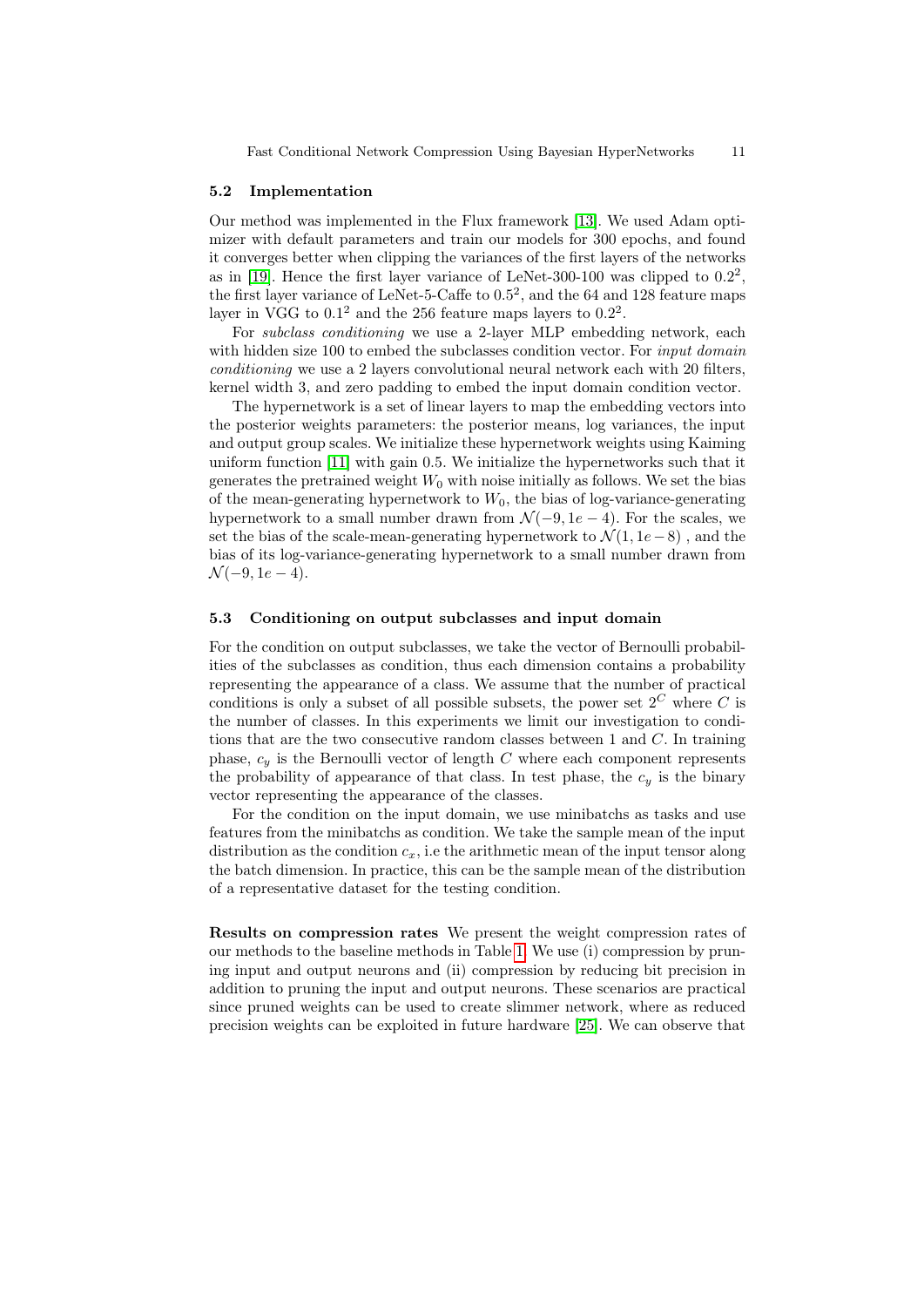#### 5.2 Implementation

Our method was implemented in the Flux framework [\[13\]](#page-15-14). We used Adam optimizer with default parameters and train our models for 300 epochs, and found it converges better when clipping the variances of the first layers of the networks as in [\[19\]](#page-15-0). Hence the first layer variance of LeNet-300-100 was clipped to  $0.2^2$ , the first layer variance of LeNet-5-Caffe to  $0.5^2$ , and the 64 and 128 feature maps layer in VGG to  $0.1^2$  and the 256 feature maps layers to  $0.2^2$ .

For subclass conditioning we use a 2-layer MLP embedding network, each with hidden size 100 to embed the subclasses condition vector. For *input domain* conditioning we use a 2 layers convolutional neural network each with 20 filters, kernel width 3, and zero padding to embed the input domain condition vector.

The hypernetwork is a set of linear layers to map the embedding vectors into the posterior weights parameters: the posterior means, log variances, the input and output group scales. We initialize these hypernetwork weights using Kaiming uniform function [\[11\]](#page-14-10) with gain 0.5. We initialize the hypernetworks such that it generates the pretrained weight  $W_0$  with noise initially as follows. We set the bias of the mean-generating hypernetwork to  $W_0$ , the bias of log-variance-generating hypernetwork to a small number drawn from  $\mathcal{N}(-9, 1e-4)$ . For the scales, we set the bias of the scale-mean-generating hypernetwork to  $\mathcal{N}(1, 1e-8)$ , and the bias of its log-variance-generating hypernetwork to a small number drawn from  $\mathcal{N}(-9, 1e-4).$ 

#### 5.3 Conditioning on output subclasses and input domain

For the condition on output subclasses, we take the vector of Bernoulli probabilities of the subclasses as condition, thus each dimension contains a probability representing the appearance of a class. We assume that the number of practical conditions is only a subset of all possible subsets, the power set  $2^C$  where C is the number of classes. In this experiments we limit our investigation to conditions that are the two consecutive random classes between 1 and  $C$ . In training phase,  $c_y$  is the Bernoulli vector of length  $C$  where each component represents the probability of appearance of that class. In test phase, the  $c_y$  is the binary vector representing the appearance of the classes.

For the condition on the input domain, we use minibatchs as tasks and use features from the minibatchs as condition. We take the sample mean of the input distribution as the condition  $c_x$ , i.e the arithmetic mean of the input tensor along the batch dimension. In practice, this can be the sample mean of the distribution of a representative dataset for the testing condition.

Results on compression rates We present the weight compression rates of our methods to the baseline methods in Table [1.](#page-11-0) We use (i) compression by pruning input and output neurons and (ii) compression by reducing bit precision in addition to pruning the input and output neurons. These scenarios are practical since pruned weights can be used to create slimmer network, where as reduced precision weights can be exploited in future hardware [\[25\]](#page-15-15). We can observe that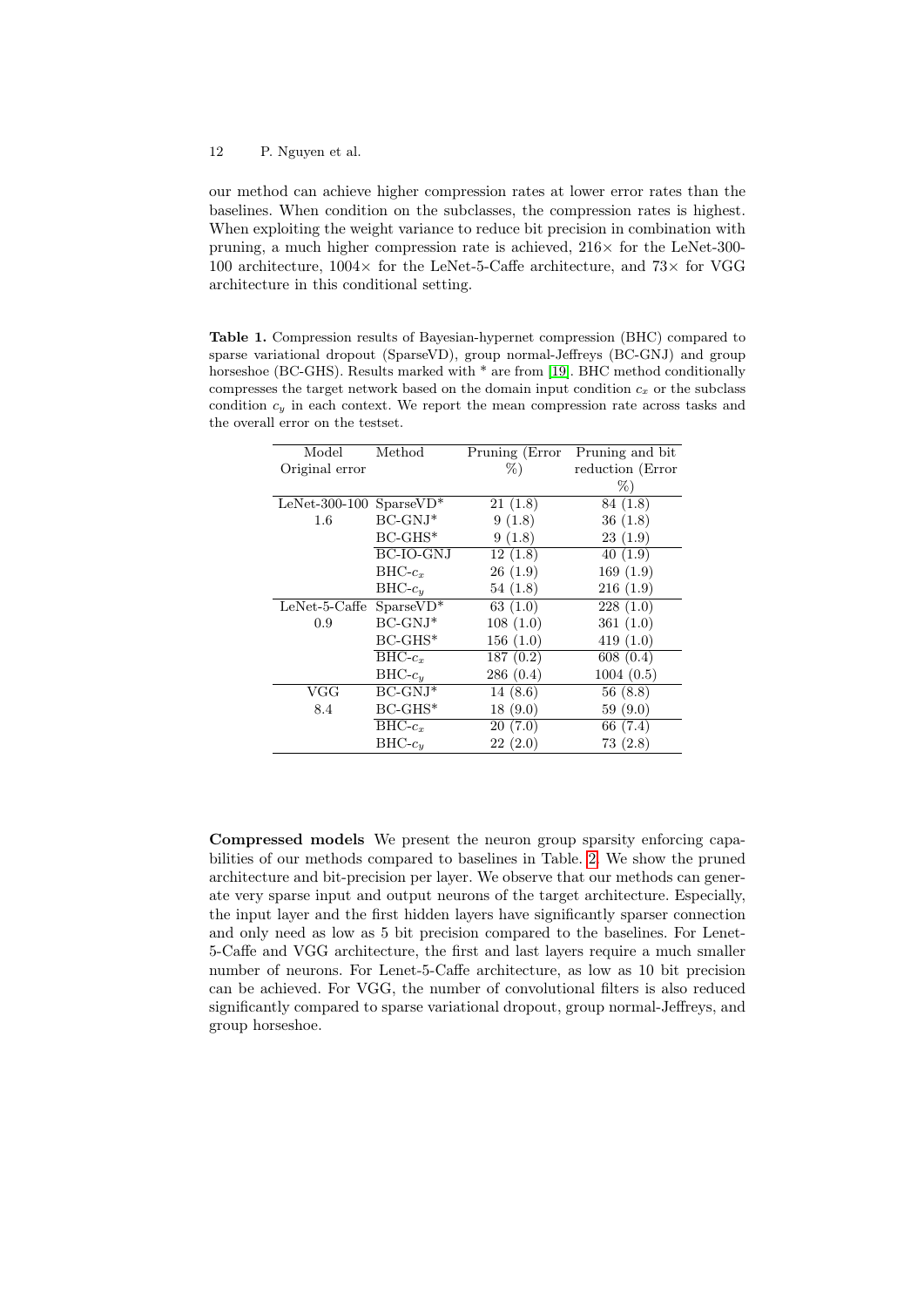our method can achieve higher compression rates at lower error rates than the baselines. When condition on the subclasses, the compression rates is highest. When exploiting the weight variance to reduce bit precision in combination with pruning, a much higher compression rate is achieved,  $216\times$  for the LeNet-300-100 architecture,  $1004\times$  for the LeNet-5-Caffe architecture, and  $73\times$  for VGG architecture in this conditional setting.

<span id="page-11-0"></span>Table 1. Compression results of Bayesian-hypernet compression (BHC) compared to sparse variational dropout (SparseVD), group normal-Jeffreys (BC-GNJ) and group horseshoe (BC-GHS). Results marked with  $*$  are from [\[19\]](#page-15-0). BHC method conditionally compresses the target network based on the domain input condition  $c_x$  or the subclass condition  $c_y$  in each context. We report the mean compression rate across tasks and the overall error on the testset.

| Model           | Method       |          | Pruning (Error<br>Pruning and bit. |
|-----------------|--------------|----------|------------------------------------|
| Original error  |              | %        | reduction (Error                   |
|                 |              |          | %                                  |
| $LeNet-300-100$ | $SparseVD^*$ | 21(1.8)  | 84 (1.8)                           |
| 1.6             | $BC-GNJ*$    | 9(1.8)   | 36(1.8)                            |
|                 | $BC-GHS^*$   | 9(1.8)   | 23(1.9)                            |
|                 | BC-IO-GNJ    | 12(1.8)  | 40(1.9)                            |
|                 | $BHC-c_r$    | 26(1.9)  | 169(1.9)                           |
|                 | $BHC-c_u$    | 54(1.8)  | 216(1.9)                           |
| $LeNet-5-Caffe$ | $SparseVD^*$ | 63(1.0)  | 228(1.0)                           |
| 0.9             | $BC-GNJ*$    | 108(1.0) | 361 $(1.0)$                        |
|                 | $BC-GHS^*$   | 156(1.0) | 419 $(1.0)$                        |
|                 | $BHC-c_r$    | 187(0.2) | 608(0.4)                           |
|                 | $BHC-c_y$    | 286(0.4) | 1004(0.5)                          |
| VGG             | $BC-GNJ*$    | 14(8.6)  | 56(8.8)                            |
| 8.4             | $BC-GHS^*$   | 18(9.0)  | 59(9.0)                            |
|                 | $BHC-c_x$    | 20(7.0)  | 66 (7.4)                           |
|                 | $BHC-cy$     | 22(2.0)  | 73(2.8)                            |

Compressed models We present the neuron group sparsity enforcing capabilities of our methods compared to baselines in Table. [2.](#page-13-0) We show the pruned architecture and bit-precision per layer. We observe that our methods can generate very sparse input and output neurons of the target architecture. Especially, the input layer and the first hidden layers have significantly sparser connection and only need as low as 5 bit precision compared to the baselines. For Lenet-5-Caffe and VGG architecture, the first and last layers require a much smaller number of neurons. For Lenet-5-Caffe architecture, as low as 10 bit precision can be achieved. For VGG, the number of convolutional filters is also reduced significantly compared to sparse variational dropout, group normal-Jeffreys, and group horseshoe.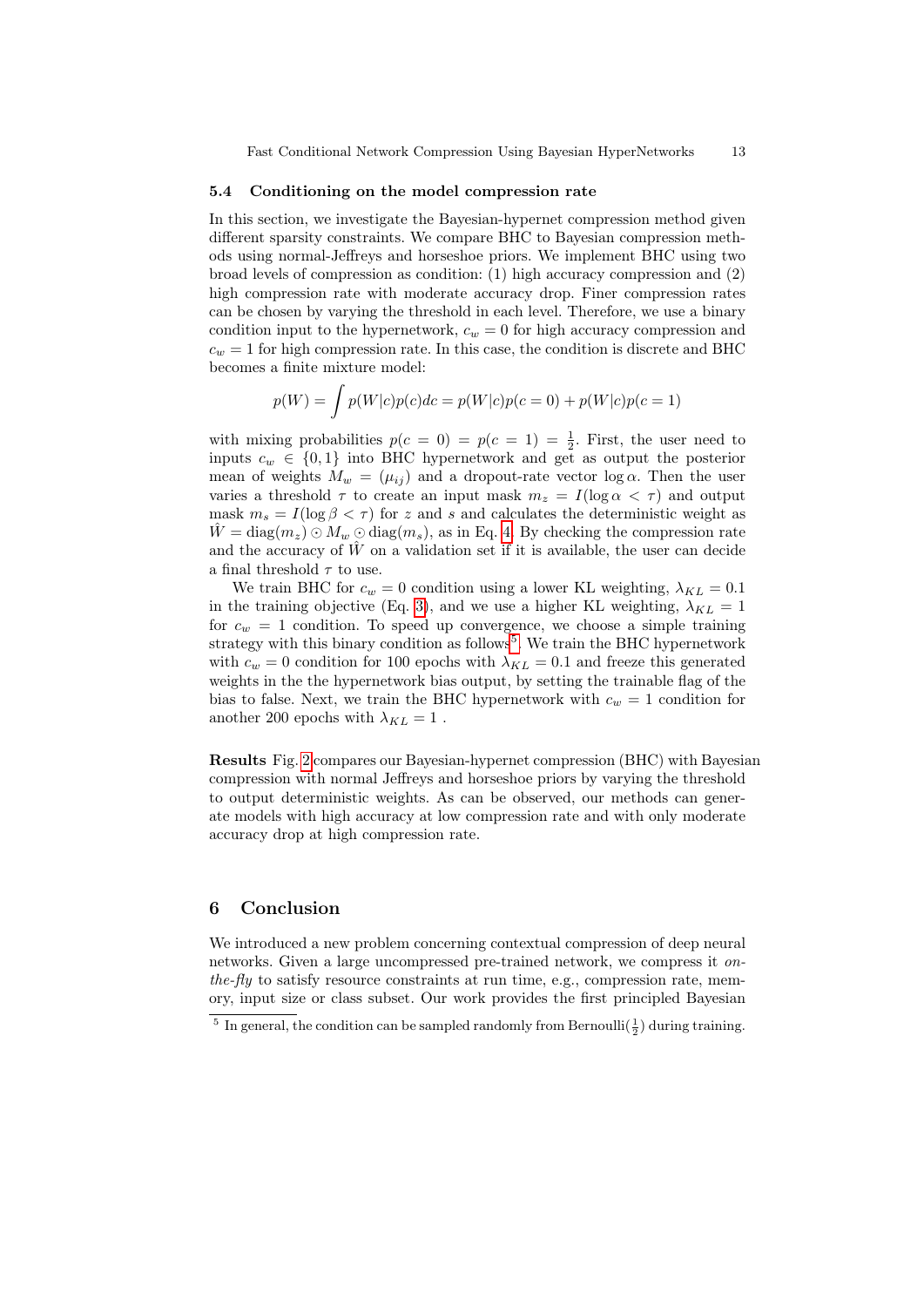#### 5.4 Conditioning on the model compression rate

In this section, we investigate the Bayesian-hypernet compression method given different sparsity constraints. We compare BHC to Bayesian compression methods using normal-Jeffreys and horseshoe priors. We implement BHC using two broad levels of compression as condition: (1) high accuracy compression and (2) high compression rate with moderate accuracy drop. Finer compression rates can be chosen by varying the threshold in each level. Therefore, we use a binary condition input to the hypernetwork,  $c_w = 0$  for high accuracy compression and  $c_w = 1$  for high compression rate. In this case, the condition is discrete and BHC becomes a finite mixture model:

$$
p(W) = \int p(W|c)p(c)dc = p(W|c)p(c = 0) + p(W|c)p(c = 1)
$$

with mixing probabilities  $p(c = 0) = p(c = 1) = \frac{1}{2}$ . First, the user need to inputs  $c_w \in \{0,1\}$  into BHC hypernetwork and get as output the posterior mean of weights  $M_w = (\mu_{ij})$  and a dropout-rate vector  $\log \alpha$ . Then the user varies a threshold  $\tau$  to create an input mask  $m_z = I(\log \alpha < \tau)$  and output mask  $m_s = I(\log \beta < \tau)$  for z and s and calculates the deterministic weight as  $\hat{W} = \text{diag}(m_z) \odot M_w \odot \text{diag}(m_s)$ , as in Eq. [4.](#page-7-0) By checking the compression rate and the accuracy of  $\tilde{W}$  on a validation set if it is available, the user can decide a final threshold  $\tau$  to use.

We train BHC for  $c_w = 0$  condition using a lower KL weighting,  $\lambda_{KL} = 0.1$ in the training objective (Eq. [3\)](#page-7-1), and we use a higher KL weighting,  $\lambda_{KL} = 1$ for  $c_w = 1$  condition. To speed up convergence, we choose a simple training strategy with this binary condition as follows<sup>[5](#page-12-0)</sup>. We train the BHC hypernetwork with  $c_w = 0$  condition for 100 epochs with  $\lambda_{KL} = 0.1$  and freeze this generated weights in the the hypernetwork bias output, by setting the trainable flag of the bias to false. Next, we train the BHC hypernetwork with  $c_w = 1$  condition for another 200 epochs with  $\lambda_{KL} = 1$ .

Results Fig. [2](#page-13-1) compares our Bayesian-hypernet compression (BHC) with Bayesian compression with normal Jeffreys and horseshoe priors by varying the threshold to output deterministic weights. As can be observed, our methods can generate models with high accuracy at low compression rate and with only moderate accuracy drop at high compression rate.

### 6 Conclusion

We introduced a new problem concerning contextual compression of deep neural networks. Given a large uncompressed pre-trained network, we compress it onthe-fly to satisfy resource constraints at run time, e.g., compression rate, memory, input size or class subset. Our work provides the first principled Bayesian

<span id="page-12-0"></span><sup>&</sup>lt;sup>5</sup> In general, the condition can be sampled randomly from Bernoulli $(\frac{1}{2})$  during training.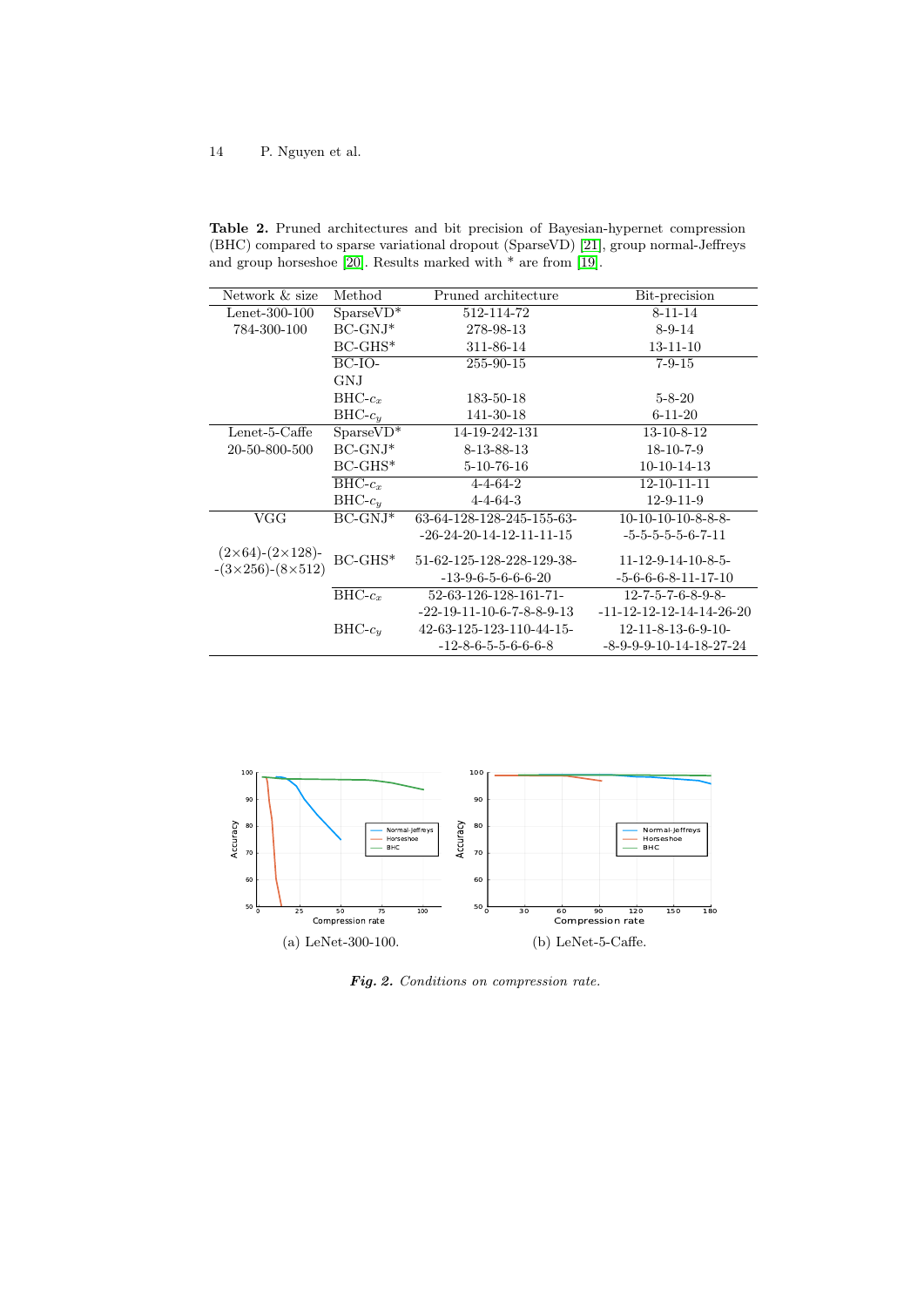<span id="page-13-0"></span>Table 2. Pruned architectures and bit precision of Bayesian-hypernet compression (BHC) compared to sparse variational dropout (SparseVD) [\[21\]](#page-15-1), group normal-Jeffreys and group horseshoe [\[20\]](#page-15-2). Results marked with \* are from [\[19\]](#page-15-0).

| Network & size                                                   | Method      | Pruned architecture         | Bit-precision                      |
|------------------------------------------------------------------|-------------|-----------------------------|------------------------------------|
| Lenet-300-100                                                    | $SparseVD*$ | 512-114-72                  | $8 - 11 - 14$                      |
| 784-300-100                                                      | $BC-GNJ*$   | 278-98-13                   | $8 - 9 - 14$                       |
|                                                                  | $BC-GHS^*$  | 311-86-14                   | $13 - 11 - 10$                     |
|                                                                  | $BC-IO-$    | 255-90-15                   | $7 - 9 - 15$                       |
|                                                                  | <b>GNJ</b>  |                             |                                    |
|                                                                  | $BHC-c_x$   | 183-50-18                   | $5 - 8 - 20$                       |
|                                                                  | $BHC-cy$    | 141-30-18                   | $6 - 11 - 20$                      |
| $L$ enet-5- $C$ affe                                             | $SparseVD*$ | 14-19-242-131               | 13-10-8-12                         |
| 20-50-800-500                                                    | $BC-GNJ*$   | 8-13-88-13                  | $18 - 10 - 7 - 9$                  |
|                                                                  | $BC-GHS^*$  | $5 - 10 - 76 - 16$          | $10-10-14-13$                      |
|                                                                  | $BHC-cr$    | $4 - 4 - 64 - 2$            | 12-10-11-11                        |
|                                                                  | $BHC-c_u$   | $4 - 4 - 64 - 3$            | $12 - 9 - 11 - 9$                  |
| $\rm VGG$                                                        | $BC-GNJ*$   | 63-64-128-128-245-155-63-   | $10-10-10-10-8-8-8-$               |
|                                                                  |             | $-26-24-20-14-12-11-11-15$  | $-5 - 5 - 5 - 5 - 6 - 7 - 11$      |
| $(2\times64)$ - $(2\times128)$ -<br>$-(3\times256)-(8\times512)$ | $BC-GHS^*$  | 51-62-125-128-228-129-38-   | $11 - 12 - 9 - 14 - 10 - 8 - 5$    |
|                                                                  |             | $-13-9-6-5-6-6-6-20$        | $-5 - 6 - 6 - 8 - 11 - 17 - 10$    |
|                                                                  | $BHC-c_x$   | 52-63-126-128-161-71-       | $12 - 7 - 5 - 7 - 6 - 8 - 9 - 8 -$ |
|                                                                  |             | $-22-19-11-10-6-7-8-8-9-13$ | $-11-12-12-12-14-14-26-20$         |
|                                                                  | $BHC-c_u$   | 42-63-125-123-110-44-15-    | 12-11-8-13-6-9-10-                 |
|                                                                  |             | $-12-8-6-5-5-6-6-8$         | $-8-9-9-9-10-14-18-27-24$          |



<span id="page-13-1"></span>Fig. 2. Conditions on compression rate.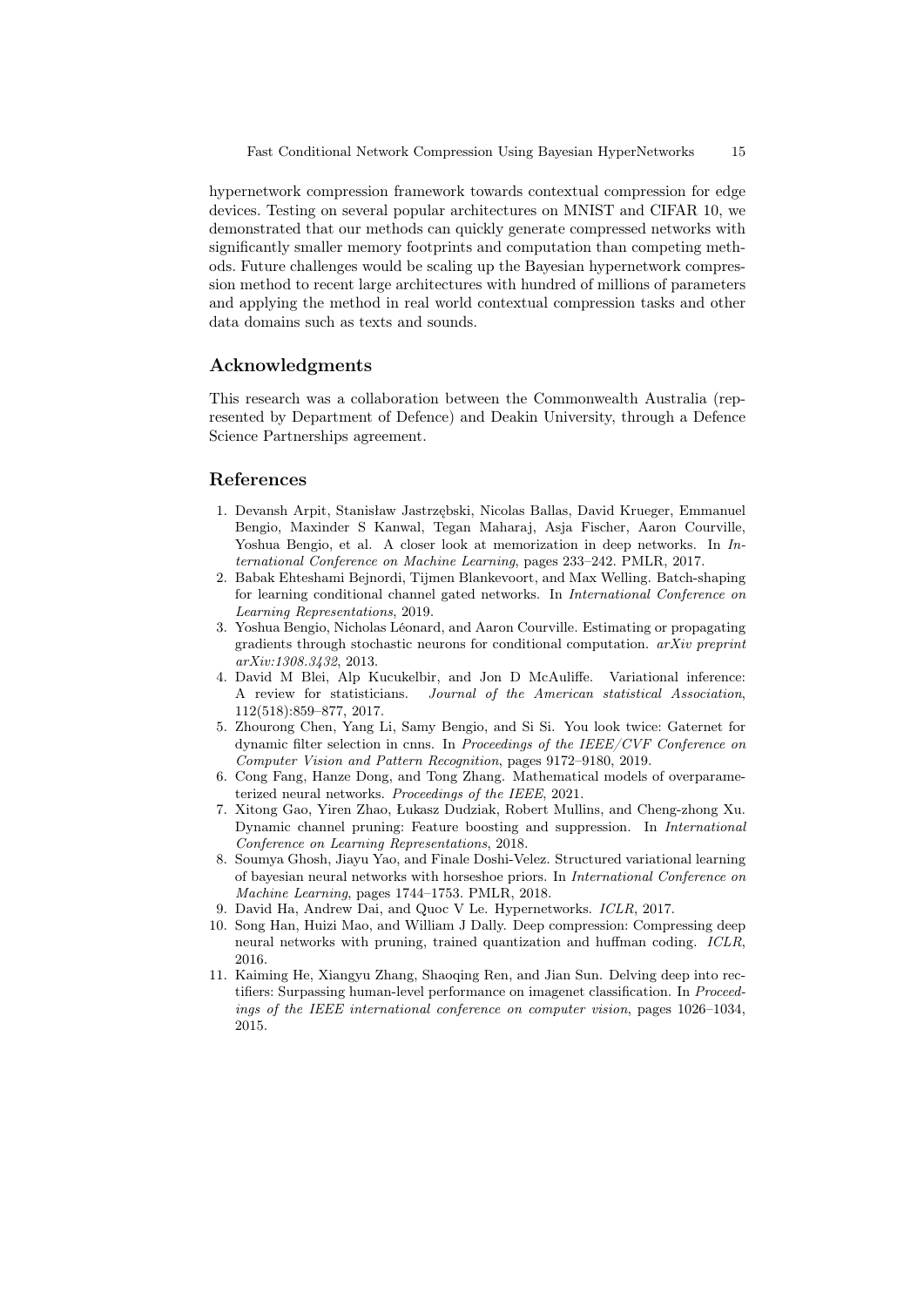hypernetwork compression framework towards contextual compression for edge devices. Testing on several popular architectures on MNIST and CIFAR 10, we demonstrated that our methods can quickly generate compressed networks with significantly smaller memory footprints and computation than competing methods. Future challenges would be scaling up the Bayesian hypernetwork compression method to recent large architectures with hundred of millions of parameters and applying the method in real world contextual compression tasks and other data domains such as texts and sounds.

### Acknowledgments

This research was a collaboration between the Commonwealth Australia (represented by Department of Defence) and Deakin University, through a Defence Science Partnerships agreement.

### References

- <span id="page-14-1"></span>1. Devansh Arpit, Stanisław Jastrzębski, Nicolas Ballas, David Krueger, Emmanuel Bengio, Maxinder S Kanwal, Tegan Maharaj, Asja Fischer, Aaron Courville, Yoshua Bengio, et al. A closer look at memorization in deep networks. In  $In$ ternational Conference on Machine Learning, pages 233–242. PMLR, 2017.
- <span id="page-14-4"></span>2. Babak Ehteshami Bejnordi, Tijmen Blankevoort, and Max Welling. Batch-shaping for learning conditional channel gated networks. In International Conference on Learning Representations, 2019.
- <span id="page-14-3"></span>3. Yoshua Bengio, Nicholas Léonard, and Aaron Courville. Estimating or propagating gradients through stochastic neurons for conditional computation.  $arXiv$  preprint arXiv:1308.3432, 2013.
- <span id="page-14-7"></span>4. David M Blei, Alp Kucukelbir, and Jon D McAuliffe. Variational inference: A review for statisticians. Journal of the American statistical Association, 112(518):859–877, 2017.
- <span id="page-14-5"></span>5. Zhourong Chen, Yang Li, Samy Bengio, and Si Si. You look twice: Gaternet for dynamic filter selection in cnns. In Proceedings of the IEEE/CVF Conference on Computer Vision and Pattern Recognition, pages 9172–9180, 2019.
- <span id="page-14-0"></span>6. Cong Fang, Hanze Dong, and Tong Zhang. Mathematical models of overparameterized neural networks. Proceedings of the IEEE, 2021.
- <span id="page-14-6"></span>7. Xitong Gao, Yiren Zhao, Łukasz Dudziak, Robert Mullins, and Cheng-zhong Xu. Dynamic channel pruning: Feature boosting and suppression. In International Conference on Learning Representations, 2018.
- <span id="page-14-8"></span>8. Soumya Ghosh, Jiayu Yao, and Finale Doshi-Velez. Structured variational learning of bayesian neural networks with horseshoe priors. In International Conference on Machine Learning, pages 1744–1753. PMLR, 2018.
- <span id="page-14-9"></span>9. David Ha, Andrew Dai, and Quoc V Le. Hypernetworks. ICLR, 2017.
- <span id="page-14-2"></span>10. Song Han, Huizi Mao, and William J Dally. Deep compression: Compressing deep neural networks with pruning, trained quantization and huffman coding. ICLR, 2016.
- <span id="page-14-10"></span>11. Kaiming He, Xiangyu Zhang, Shaoqing Ren, and Jian Sun. Delving deep into rectifiers: Surpassing human-level performance on imagenet classification. In Proceedings of the IEEE international conference on computer vision, pages 1026–1034, 2015.